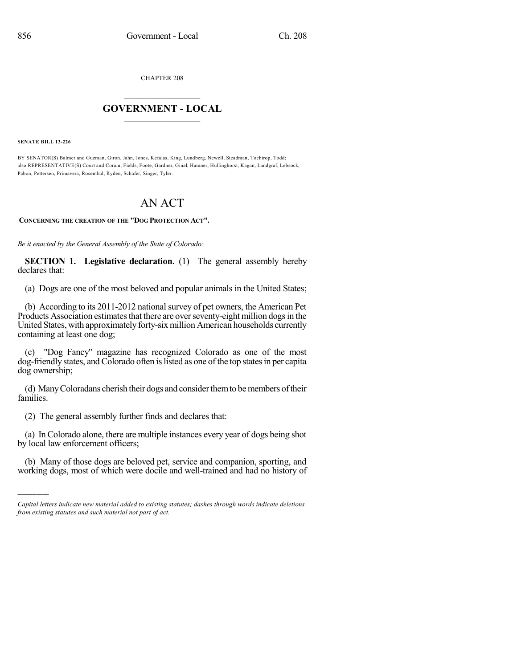CHAPTER 208

## $\overline{\phantom{a}}$  . The set of the set of the set of the set of the set of the set of the set of the set of the set of the set of the set of the set of the set of the set of the set of the set of the set of the set of the set o **GOVERNMENT - LOCAL**  $\_$

**SENATE BILL 13-226**

)))))

BY SENATOR(S) Balmer and Guzman, Giron, Jahn, Jones, Kefalas, King, Lundberg, Newell, Steadman, Tochtrop, Todd; also REPRESENTATIVE(S) Court and Coram, Fields, Foote, Gardner, Ginal, Hamner, Hullinghorst, Kagan, Landgraf, Lebsock, Pabon, Pettersen, Primavera, Rosenthal, Ryden, Schafer, Singer, Tyler.

## AN ACT

**CONCERNING THE CREATION OF THE "DOG PROTECTION ACT".**

*Be it enacted by the General Assembly of the State of Colorado:*

**SECTION 1. Legislative declaration.** (1) The general assembly hereby declares that:

(a) Dogs are one of the most beloved and popular animals in the United States;

(b) According to its 2011-2012 national survey of pet owners, the American Pet Products Association estimates that there are over seventy-eight million dogs in the United States, with approximately forty-six million American households currently containing at least one dog;

(c) "Dog Fancy" magazine has recognized Colorado as one of the most dog-friendly states, and Colorado often is listed as one of the top states in per capita dog ownership;

(d) Many Coloradans cherish their dogs and consider them to be members of their families.

(2) The general assembly further finds and declares that:

(a) InColorado alone, there are multiple instances every year of dogs being shot by local law enforcement officers;

(b) Many of those dogs are beloved pet, service and companion, sporting, and working dogs, most of which were docile and well-trained and had no history of

*Capital letters indicate new material added to existing statutes; dashes through words indicate deletions from existing statutes and such material not part of act.*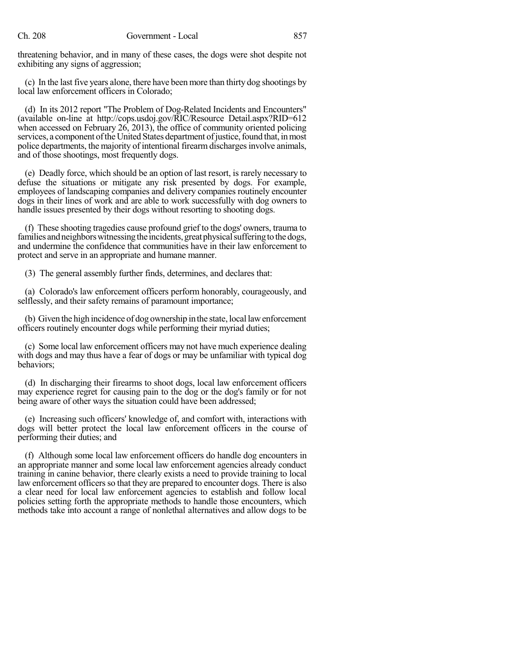threatening behavior, and in many of these cases, the dogs were shot despite not exhibiting any signs of aggression;

(c) In the last five years alone, there have been more than thirty dog shootings by local law enforcement officers in Colorado;

(d) In its 2012 report "The Problem of Dog-Related Incidents and Encounters" (available on-line at http://cops.usdoj.gov/RIC/Resource Detail.aspx?RID=612 when accessed on February 26, 2013), the office of community oriented policing services, a component of the United States department of justice, found that, in most police departments, the majority of intentional firearm discharges involve animals, and of those shootings, most frequently dogs.

(e) Deadly force, which should be an option of last resort, is rarely necessary to defuse the situations or mitigate any risk presented by dogs. For example, employees of landscaping companies and delivery companies routinely encounter dogs in their lines of work and are able to work successfully with dog owners to handle issues presented by their dogs without resorting to shooting dogs.

(f) These shooting tragedies cause profound grief to the dogs' owners, trauma to families and neighbors witnessing the incidents, great physical suffering to the dogs, and undermine the confidence that communities have in their law enforcement to protect and serve in an appropriate and humane manner.

(3) The general assembly further finds, determines, and declares that:

(a) Colorado's law enforcement officers perform honorably, courageously, and selflessly, and their safety remains of paramount importance;

(b) Given the high incidence of dog ownership inthe state, local lawenforcement officers routinely encounter dogs while performing their myriad duties;

(c) Some local law enforcement officers may not have much experience dealing with dogs and may thus have a fear of dogs or may be unfamiliar with typical dog behaviors;

(d) In discharging their firearms to shoot dogs, local law enforcement officers may experience regret for causing pain to the dog or the dog's family or for not being aware of other ways the situation could have been addressed;

(e) Increasing such officers' knowledge of, and comfort with, interactions with dogs will better protect the local law enforcement officers in the course of performing their duties; and

(f) Although some local law enforcement officers do handle dog encounters in an appropriate manner and some local law enforcement agencies already conduct training in canine behavior, there clearly exists a need to provide training to local law enforcement officers so that they are prepared to encounter dogs. There is also a clear need for local law enforcement agencies to establish and follow local policies setting forth the appropriate methods to handle those encounters, which methods take into account a range of nonlethal alternatives and allow dogs to be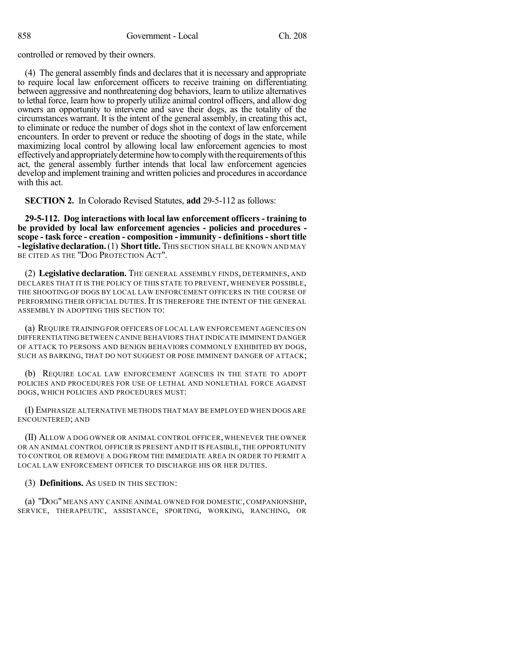controlled or removed by their owners.

(4) The general assembly finds and declares that it is necessary and appropriate to require local law enforcement officers to receive training on differentiating between aggressive and nonthreatening dog behaviors, learn to utilize alternatives to lethal force, learn how to properly utilize animal control officers, and allow dog owners an opportunity to intervene and save their dogs, as the totality of the circumstances warrant. It is the intent of the general assembly, in creating this act, to eliminate or reduce the number of dogs shot in the context of law enforcement encounters. In order to prevent or reduce the shooting of dogs in the state, while maximizing local control by allowing local law enforcement agencies to most effectivelyandappropriatelydetermine howto complywith the requirementsofthis act, the general assembly further intends that local law enforcement agencies develop and implement training and written policies and procedures in accordance with this act.

**SECTION 2.** In Colorado Revised Statutes, **add** 29-5-112 as follows:

**29-5-112. Dog interactions with local law enforcement officers - training to be provided by local law enforcement agencies - policies and procedures scope - task force - creation - composition - immunity - definitions-short title - legislative declaration.** (1) Short title. This section shall be known and may BE CITED AS THE "DOG PROTECTION ACT".

(2) **Legislative declaration.** THE GENERAL ASSEMBLY FINDS, DETERMINES, AND DECLARES THAT IT IS THE POLICY OF THIS STATE TO PREVENT, WHENEVER POSSIBLE, THE SHOOTING OF DOGS BY LOCAL LAW ENFORCEMENT OFFICERS IN THE COURSE OF PERFORMING THEIR OFFICIAL DUTIES. IT IS THEREFORE THE INTENT OF THE GENERAL ASSEMBLY IN ADOPTING THIS SECTION TO:

(a) REQUIRE TRAINING FOR OFFICERS OF LOCAL LAW ENFORCEMENT AGENCIES ON DIFFERENTIATING BETWEEN CANINE BEHAVIORS THAT INDICATE IMMINENT DANGER OF ATTACK TO PERSONS AND BENIGN BEHAVIORS COMMONLY EXHIBITED BY DOGS, SUCH AS BARKING, THAT DO NOT SUGGEST OR POSE IMMINENT DANGER OF ATTACK;

(b) REQUIRE LOCAL LAW ENFORCEMENT AGENCIES IN THE STATE TO ADOPT POLICIES AND PROCEDURES FOR USE OF LETHAL AND NONLETHAL FORCE AGAINST DOGS, WHICH POLICIES AND PROCEDURES MUST:

(I) EMPHASIZE ALTERNATIVE METHODS THAT MAY BE EMPLOYED WHEN DOGS ARE ENCOUNTERED; AND

(II) ALLOW A DOG OWNER OR ANIMAL CONTROL OFFICER, WHENEVER THE OWNER OR AN ANIMAL CONTROL OFFICER IS PRESENT AND IT IS FEASIBLE, THE OPPORTUNITY TO CONTROL OR REMOVE A DOG FROM THE IMMEDIATE AREA IN ORDER TO PERMIT A LOCAL LAW ENFORCEMENT OFFICER TO DISCHARGE HIS OR HER DUTIES.

(3) **Definitions.** AS USED IN THIS SECTION:

(a) "DOG" MEANS ANY CANINE ANIMAL OWNED FOR DOMESTIC, COMPANIONSHIP, SERVICE, THERAPEUTIC, ASSISTANCE, SPORTING, WORKING, RANCHING, OR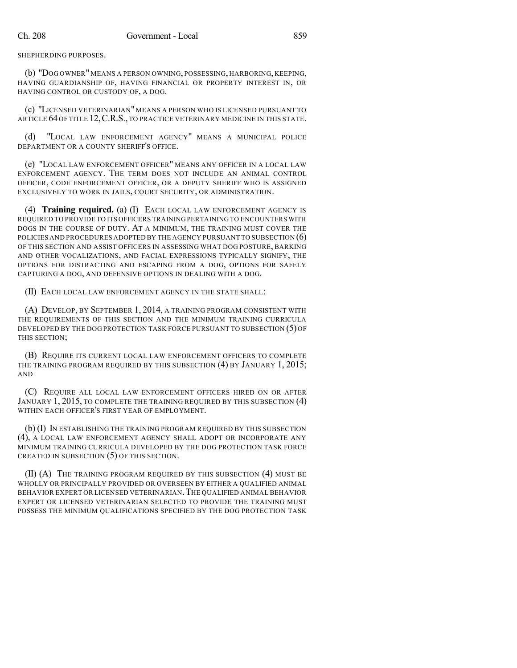SHEPHERDING PURPOSES.

(b) "DOG OWNER" MEANS A PERSON OWNING, POSSESSING, HARBORING, KEEPING, HAVING GUARDIANSHIP OF, HAVING FINANCIAL OR PROPERTY INTEREST IN, OR HAVING CONTROL OR CUSTODY OF, A DOG.

(c) "LICENSED VETERINARIAN" MEANS A PERSON WHO IS LICENSED PURSUANT TO ARTICLE 64 OF TITLE 12,C.R.S., TO PRACTICE VETERINARY MEDICINE IN THIS STATE.

(d) "LOCAL LAW ENFORCEMENT AGENCY" MEANS A MUNICIPAL POLICE DEPARTMENT OR A COUNTY SHERIFF'S OFFICE.

(e) "LOCAL LAW ENFORCEMENT OFFICER" MEANS ANY OFFICER IN A LOCAL LAW ENFORCEMENT AGENCY. THE TERM DOES NOT INCLUDE AN ANIMAL CONTROL OFFICER, CODE ENFORCEMENT OFFICER, OR A DEPUTY SHERIFF WHO IS ASSIGNED EXCLUSIVELY TO WORK IN JAILS, COURT SECURITY, OR ADMINISTRATION.

(4) **Training required.** (a) (I) EACH LOCAL LAW ENFORCEMENT AGENCY IS REQUIRED TO PROVIDE TO ITS OFFICERS TRAINING PERTAINING TO ENCOUNTERS WITH DOGS IN THE COURSE OF DUTY. AT A MINIMUM, THE TRAINING MUST COVER THE POLICIES AND PROCEDURES ADOPTED BY THE AGENCY PURSUANT TO SUBSECTION (6) OF THIS SECTION AND ASSIST OFFICERS IN ASSESSING WHAT DOG POSTURE, BARKING AND OTHER VOCALIZATIONS, AND FACIAL EXPRESSIONS TYPICALLY SIGNIFY, THE OPTIONS FOR DISTRACTING AND ESCAPING FROM A DOG, OPTIONS FOR SAFELY CAPTURING A DOG, AND DEFENSIVE OPTIONS IN DEALING WITH A DOG.

(II) EACH LOCAL LAW ENFORCEMENT AGENCY IN THE STATE SHALL:

(A) DEVELOP, BY SEPTEMBER 1, 2014, A TRAINING PROGRAM CONSISTENT WITH THE REQUIREMENTS OF THIS SECTION AND THE MINIMUM TRAINING CURRICULA DEVELOPED BY THE DOG PROTECTION TASK FORCE PURSUANT TO SUBSECTION (5) OF THIS SECTION;

(B) REQUIRE ITS CURRENT LOCAL LAW ENFORCEMENT OFFICERS TO COMPLETE THE TRAINING PROGRAM REQUIRED BY THIS SUBSECTION (4) BY JANUARY 1, 2015; AND

(C) REQUIRE ALL LOCAL LAW ENFORCEMENT OFFICERS HIRED ON OR AFTER JANUARY 1, 2015, TO COMPLETE THE TRAINING REQUIRED BY THIS SUBSECTION (4) WITHIN EACH OFFICER'S FIRST YEAR OF EMPLOYMENT.

(b) (I) IN ESTABLISHING THE TRAINING PROGRAM REQUIRED BY THIS SUBSECTION (4), A LOCAL LAW ENFORCEMENT AGENCY SHALL ADOPT OR INCORPORATE ANY MINIMUM TRAINING CURRICULA DEVELOPED BY THE DOG PROTECTION TASK FORCE CREATED IN SUBSECTION (5) OF THIS SECTION.

(II) (A) THE TRAINING PROGRAM REQUIRED BY THIS SUBSECTION (4) MUST BE WHOLLY OR PRINCIPALLY PROVIDED OR OVERSEEN BY EITHER A QUALIFIED ANIMAL BEHAVIOR EXPERT OR LICENSED VETERINARIAN.THE QUALIFIED ANIMAL BEHAVIOR EXPERT OR LICENSED VETERINARIAN SELECTED TO PROVIDE THE TRAINING MUST POSSESS THE MINIMUM QUALIFICATIONS SPECIFIED BY THE DOG PROTECTION TASK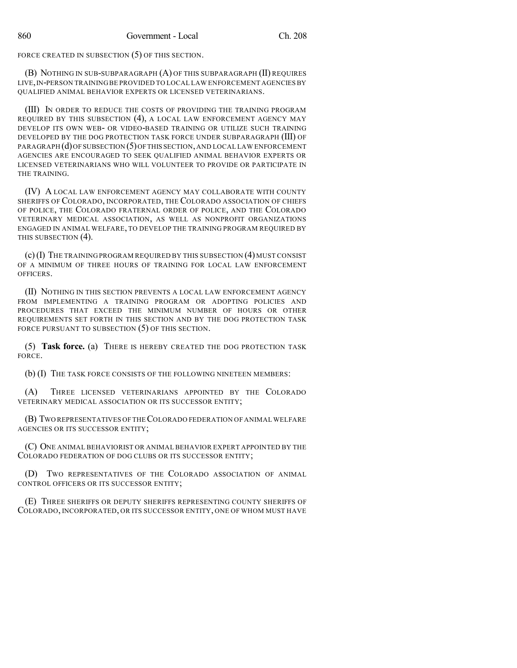FORCE CREATED IN SUBSECTION (5) OF THIS SECTION.

(B) NOTHING IN SUB-SUBPARAGRAPH (A) OF THIS SUBPARAGRAPH (II) REQUIRES LIVE, IN-PERSON TRAINING BE PROVIDED TO LOCAL LAW ENFORCEMENT AGENCIES BY QUALIFIED ANIMAL BEHAVIOR EXPERTS OR LICENSED VETERINARIANS.

(III) IN ORDER TO REDUCE THE COSTS OF PROVIDING THE TRAINING PROGRAM REQUIRED BY THIS SUBSECTION (4), A LOCAL LAW ENFORCEMENT AGENCY MAY DEVELOP ITS OWN WEB- OR VIDEO-BASED TRAINING OR UTILIZE SUCH TRAINING DEVELOPED BY THE DOG PROTECTION TASK FORCE UNDER SUBPARAGRAPH (III) OF PARAGRAPH (d)OF SUBSECTION (5)OFTHIS SECTION,AND LOCAL LAW ENFORCEMENT AGENCIES ARE ENCOURAGED TO SEEK QUALIFIED ANIMAL BEHAVIOR EXPERTS OR LICENSED VETERINARIANS WHO WILL VOLUNTEER TO PROVIDE OR PARTICIPATE IN THE TRAINING.

(IV) A LOCAL LAW ENFORCEMENT AGENCY MAY COLLABORATE WITH COUNTY SHERIFFS OF COLORADO, INCORPORATED, THE COLORADO ASSOCIATION OF CHIEFS OF POLICE, THE COLORADO FRATERNAL ORDER OF POLICE, AND THE COLORADO VETERINARY MEDICAL ASSOCIATION, AS WELL AS NONPROFIT ORGANIZATIONS ENGAGED IN ANIMAL WELFARE, TO DEVELOP THE TRAINING PROGRAM REQUIRED BY THIS SUBSECTION (4).

(c)(I) THE TRAINING PROGRAM REQUIRED BY THIS SUBSECTION (4) MUST CONSIST OF A MINIMUM OF THREE HOURS OF TRAINING FOR LOCAL LAW ENFORCEMENT OFFICERS.

(II) NOTHING IN THIS SECTION PREVENTS A LOCAL LAW ENFORCEMENT AGENCY FROM IMPLEMENTING A TRAINING PROGRAM OR ADOPTING POLICIES AND PROCEDURES THAT EXCEED THE MINIMUM NUMBER OF HOURS OR OTHER REQUIREMENTS SET FORTH IN THIS SECTION AND BY THE DOG PROTECTION TASK FORCE PURSUANT TO SUBSECTION (5) OF THIS SECTION.

(5) **Task force.** (a) THERE IS HEREBY CREATED THE DOG PROTECTION TASK FORCE.

(b) (I) THE TASK FORCE CONSISTS OF THE FOLLOWING NINETEEN MEMBERS:

(A) THREE LICENSED VETERINARIANS APPOINTED BY THE COLORADO VETERINARY MEDICAL ASSOCIATION OR ITS SUCCESSOR ENTITY;

(B) TWO REPRESENTATIVES OF THECOLORADO FEDERATION OF ANIMAL WELFARE AGENCIES OR ITS SUCCESSOR ENTITY;

(C) ONE ANIMAL BEHAVIORIST OR ANIMAL BEHAVIOR EXPERT APPOINTED BY THE COLORADO FEDERATION OF DOG CLUBS OR ITS SUCCESSOR ENTITY;

(D) TWO REPRESENTATIVES OF THE COLORADO ASSOCIATION OF ANIMAL CONTROL OFFICERS OR ITS SUCCESSOR ENTITY;

(E) THREE SHERIFFS OR DEPUTY SHERIFFS REPRESENTING COUNTY SHERIFFS OF COLORADO, INCORPORATED, OR ITS SUCCESSOR ENTITY, ONE OF WHOM MUST HAVE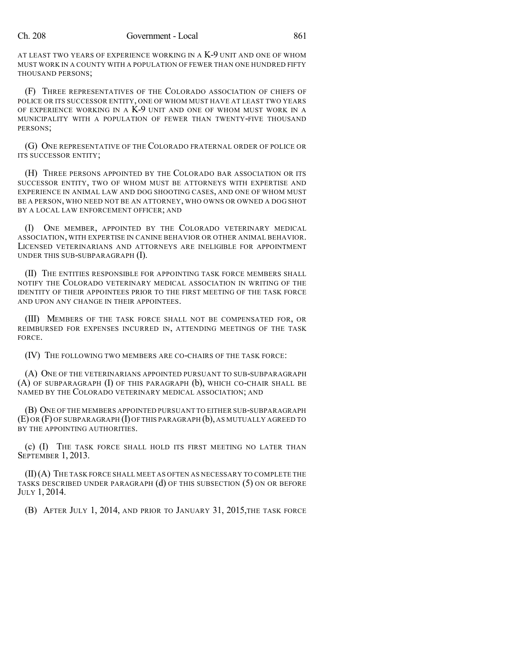AT LEAST TWO YEARS OF EXPERIENCE WORKING IN A K-9 UNIT AND ONE OF WHOM MUST WORK IN A COUNTY WITH A POPULATION OF FEWER THAN ONE HUNDRED FIFTY THOUSAND PERSONS;

(F) THREE REPRESENTATIVES OF THE COLORADO ASSOCIATION OF CHIEFS OF POLICE OR ITS SUCCESSOR ENTITY, ONE OF WHOM MUST HAVE AT LEAST TWO YEARS OF EXPERIENCE WORKING IN A K-9 UNIT AND ONE OF WHOM MUST WORK IN A MUNICIPALITY WITH A POPULATION OF FEWER THAN TWENTY-FIVE THOUSAND PERSONS;

(G) ONE REPRESENTATIVE OF THE COLORADO FRATERNAL ORDER OF POLICE OR ITS SUCCESSOR ENTITY;

(H) THREE PERSONS APPOINTED BY THE COLORADO BAR ASSOCIATION OR ITS SUCCESSOR ENTITY, TWO OF WHOM MUST BE ATTORNEYS WITH EXPERTISE AND EXPERIENCE IN ANIMAL LAW AND DOG SHOOTING CASES, AND ONE OF WHOM MUST BE A PERSON, WHO NEED NOT BE AN ATTORNEY, WHO OWNS OR OWNED A DOG SHOT BY A LOCAL LAW ENFORCEMENT OFFICER; AND

(I) ONE MEMBER, APPOINTED BY THE COLORADO VETERINARY MEDICAL ASSOCIATION, WITH EXPERTISE IN CANINE BEHAVIOR OR OTHER ANIMAL BEHAVIOR. LICENSED VETERINARIANS AND ATTORNEYS ARE INELIGIBLE FOR APPOINTMENT UNDER THIS SUB-SUBPARAGRAPH (I).

(II) THE ENTITIES RESPONSIBLE FOR APPOINTING TASK FORCE MEMBERS SHALL NOTIFY THE COLORADO VETERINARY MEDICAL ASSOCIATION IN WRITING OF THE IDENTITY OF THEIR APPOINTEES PRIOR TO THE FIRST MEETING OF THE TASK FORCE AND UPON ANY CHANGE IN THEIR APPOINTEES.

(III) MEMBERS OF THE TASK FORCE SHALL NOT BE COMPENSATED FOR, OR REIMBURSED FOR EXPENSES INCURRED IN, ATTENDING MEETINGS OF THE TASK FORCE.

(IV) THE FOLLOWING TWO MEMBERS ARE CO-CHAIRS OF THE TASK FORCE:

(A) ONE OF THE VETERINARIANS APPOINTED PURSUANT TO SUB-SUBPARAGRAPH (A) OF SUBPARAGRAPH (I) OF THIS PARAGRAPH (b), WHICH CO-CHAIR SHALL BE NAMED BY THE COLORADO VETERINARY MEDICAL ASSOCIATION; AND

(B) ONE OF THE MEMBERS APPOINTED PURSUANT TO EITHER SUB-SUBPARAGRAPH (E) OR (F) OF SUBPARAGRAPH (I) OF THIS PARAGRAPH (b), AS MUTUALLY AGREED TO BY THE APPOINTING AUTHORITIES.

(c) (I) THE TASK FORCE SHALL HOLD ITS FIRST MEETING NO LATER THAN SEPTEMBER 1, 2013.

(II)(A) THE TASK FORCE SHALL MEET AS OFTEN AS NECESSARY TO COMPLETE THE TASKS DESCRIBED UNDER PARAGRAPH  $(d)$  OF THIS SUBSECTION  $(5)$  ON OR BEFORE JULY 1, 2014.

(B) AFTER JULY 1, 2014, AND PRIOR TO JANUARY 31, 2015,THE TASK FORCE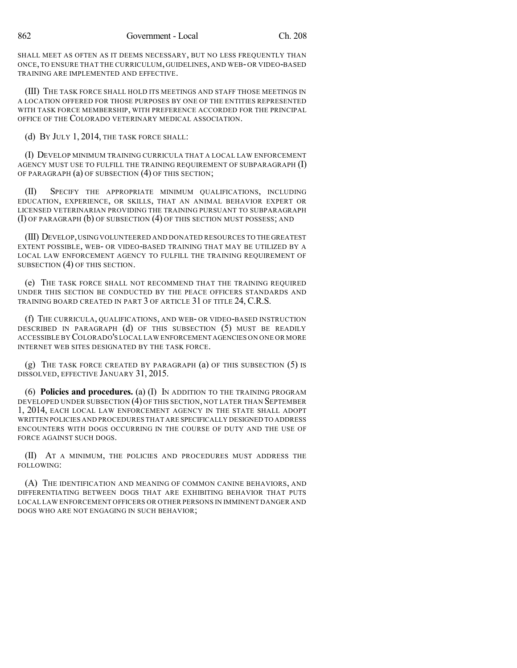SHALL MEET AS OFTEN AS IT DEEMS NECESSARY, BUT NO LESS FREQUENTLY THAN ONCE, TO ENSURE THAT THE CURRICULUM, GUIDELINES, AND WEB-OR VIDEO-BASED TRAINING ARE IMPLEMENTED AND EFFECTIVE.

(III) THE TASK FORCE SHALL HOLD ITS MEETINGS AND STAFF THOSE MEETINGS IN A LOCATION OFFERED FOR THOSE PURPOSES BY ONE OF THE ENTITIES REPRESENTED WITH TASK FORCE MEMBERSHIP, WITH PREFERENCE ACCORDED FOR THE PRINCIPAL OFFICE OF THE COLORADO VETERINARY MEDICAL ASSOCIATION.

(d) BY JULY 1, 2014, THE TASK FORCE SHALL:

(I) DEVELOP MINIMUM TRAINING CURRICULA THAT A LOCAL LAW ENFORCEMENT AGENCY MUST USE TO FULFILL THE TRAINING REQUIREMENT OF SUBPARAGRAPH  $(I)$ OF PARAGRAPH (a) OF SUBSECTION (4) OF THIS SECTION;

(II) SPECIFY THE APPROPRIATE MINIMUM QUALIFICATIONS, INCLUDING EDUCATION, EXPERIENCE, OR SKILLS, THAT AN ANIMAL BEHAVIOR EXPERT OR LICENSED VETERINARIAN PROVIDING THE TRAINING PURSUANT TO SUBPARAGRAPH (I) OF PARAGRAPH (b) OF SUBSECTION (4) OF THIS SECTION MUST POSSESS; AND

(III) DEVELOP,USINGVOLUNTEERED AND DONATED RESOURCES TO THE GREATEST EXTENT POSSIBLE, WEB- OR VIDEO-BASED TRAINING THAT MAY BE UTILIZED BY A LOCAL LAW ENFORCEMENT AGENCY TO FULFILL THE TRAINING REQUIREMENT OF SUBSECTION (4) OF THIS SECTION.

(e) THE TASK FORCE SHALL NOT RECOMMEND THAT THE TRAINING REQUIRED UNDER THIS SECTION BE CONDUCTED BY THE PEACE OFFICERS STANDARDS AND TRAINING BOARD CREATED IN PART 3 OF ARTICLE 31 OF TITLE 24, C.R.S.

(f) THE CURRICULA, QUALIFICATIONS, AND WEB- OR VIDEO-BASED INSTRUCTION DESCRIBED IN PARAGRAPH (d) OF THIS SUBSECTION (5) MUST BE READILY ACCESSIBLE BY COLORADO'S LOCAL LAW ENFORCEMENT AGENCIES ON ONE OR MORE INTERNET WEB SITES DESIGNATED BY THE TASK FORCE.

(g) THE TASK FORCE CREATED BY PARAGRAPH (a) OF THIS SUBSECTION (5) IS DISSOLVED, EFFECTIVE JANUARY 31, 2015.

(6) **Policies and procedures.** (a) (I) IN ADDITION TO THE TRAINING PROGRAM DEVELOPED UNDER SUBSECTION (4) OF THIS SECTION, NOT LATER THAN SEPTEMBER 1, 2014, EACH LOCAL LAW ENFORCEMENT AGENCY IN THE STATE SHALL ADOPT WRITTEN POLICIES AND PROCEDURES THAT ARE SPECIFICALLY DESIGNED TO ADDRESS ENCOUNTERS WITH DOGS OCCURRING IN THE COURSE OF DUTY AND THE USE OF FORCE AGAINST SUCH DOGS.

(II) AT A MINIMUM, THE POLICIES AND PROCEDURES MUST ADDRESS THE FOLLOWING:

(A) THE IDENTIFICATION AND MEANING OF COMMON CANINE BEHAVIORS, AND DIFFERENTIATING BETWEEN DOGS THAT ARE EXHIBITING BEHAVIOR THAT PUTS LOCAL LAW ENFORCEMENT OFFICERS OR OTHER PERSONS IN IMMINENT DANGER AND DOGS WHO ARE NOT ENGAGING IN SUCH BEHAVIOR;